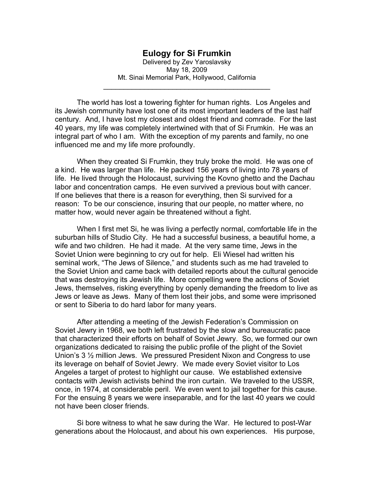## **Eulogy for Si Frumkin**

Delivered by Zev Yaroslavsky May 18, 2009 Mt. Sinai Memorial Park, Hollywood, California

\_\_\_\_\_\_\_\_\_\_\_\_\_\_\_\_\_\_\_\_\_\_\_\_\_\_\_\_\_\_\_\_\_\_\_\_\_\_\_\_\_

The world has lost a towering fighter for human rights. Los Angeles and its Jewish community have lost one of its most important leaders of the last half century. And, I have lost my closest and oldest friend and comrade. For the last 40 years, my life was completely intertwined with that of Si Frumkin. He was an integral part of who I am. With the exception of my parents and family, no one influenced me and my life more profoundly.

 When they created Si Frumkin, they truly broke the mold. He was one of a kind. He was larger than life. He packed 156 years of living into 78 years of life. He lived through the Holocaust, surviving the Kovno ghetto and the Dachau labor and concentration camps. He even survived a previous bout with cancer. If one believes that there is a reason for everything, then Si survived for a reason: To be our conscience, insuring that our people, no matter where, no matter how, would never again be threatened without a fight.

 When I first met Si, he was living a perfectly normal, comfortable life in the suburban hills of Studio City. He had a successful business, a beautiful home, a wife and two children. He had it made. At the very same time, Jews in the Soviet Union were beginning to cry out for help. Eli Wiesel had written his seminal work, "The Jews of Silence," and students such as me had traveled to the Soviet Union and came back with detailed reports about the cultural genocide that was destroying its Jewish life. More compelling were the actions of Soviet Jews, themselves, risking everything by openly demanding the freedom to live as Jews or leave as Jews. Many of them lost their jobs, and some were imprisoned or sent to Siberia to do hard labor for many years.

 After attending a meeting of the Jewish Federation's Commission on Soviet Jewry in 1968, we both left frustrated by the slow and bureaucratic pace that characterized their efforts on behalf of Soviet Jewry. So, we formed our own organizations dedicated to raising the public profile of the plight of the Soviet Union's 3 ½ million Jews. We pressured President Nixon and Congress to use its leverage on behalf of Soviet Jewry. We made every Soviet visitor to Los Angeles a target of protest to highlight our cause. We established extensive contacts with Jewish activists behind the iron curtain. We traveled to the USSR, once, in 1974, at considerable peril. We even went to jail together for this cause. For the ensuing 8 years we were inseparable, and for the last 40 years we could not have been closer friends.

 Si bore witness to what he saw during the War. He lectured to post-War generations about the Holocaust, and about his own experiences. His purpose,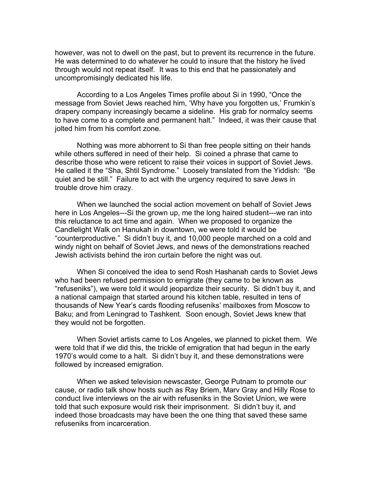however, was not to dwell on the past, but to prevent its recurrence in the future. He was determined to do whatever he could to insure that the history he lived through would not repeat itself. It was to this end that he passionately and uncompromisingly dedicated his life.

 According to a Los Angeles Times profile about Si in 1990, "Once the message from Soviet Jews reached him, 'Why have you forgotten us,' Frumkin's drapery company increasingly became a sideline. His grab for normalcy seems to have come to a complete and permanent halt." Indeed, it was their cause that jolted him from his comfort zone.

Nothing was more abhorrent to Si than free people sitting on their hands while others suffered in need of their help. Si coined a phrase that came to describe those who were reticent to raise their voices in support of Soviet Jews. He called it the "Sha, Shtil Syndrome." Loosely translated from the Yiddish: "Be quiet and be still." Failure to act with the urgency required to save Jews in trouble drove him crazy.

 When we launched the social action movement on behalf of Soviet Jews here in Los Angeles---Si the grown up, me the long haired student---we ran into this reluctance to act time and again. When we proposed to organize the Candlelight Walk on Hanukah in downtown, we were told it would be "counterproductive." Si didn't buy it, and 10,000 people marched on a cold and windy night on behalf of Soviet Jews, and news of the demonstrations reached Jewish activists behind the iron curtain before the night was out.

 When Si conceived the idea to send Rosh Hashanah cards to Soviet Jews who had been refused permission to emigrate (they came to be known as "refuseniks"), we were told it would jeopardize their security. Si didn't buy it, and a national campaign that started around his kitchen table, resulted in tens of thousands of New Year's cards flooding refuseniks' mailboxes from Moscow to Baku; and from Leningrad to Tashkent. Soon enough, Soviet Jews knew that they would not be forgotten.

 When Soviet artists came to Los Angeles, we planned to picket them. We were told that if we did this, the trickle of emigration that had begun in the early 1970's would come to a halt. Si didn't buy it, and these demonstrations were followed by increased emigration.

 When we asked television newscaster, George Putnam to promote our cause, or radio talk show hosts such as Ray Briem, Marv Gray and Hilly Rose to conduct live interviews on the air with refuseniks in the Soviet Union, we were told that such exposure would risk their imprisonment. Si didn't buy it, and indeed those broadcasts may have been the one thing that saved these same refuseniks from incarceration.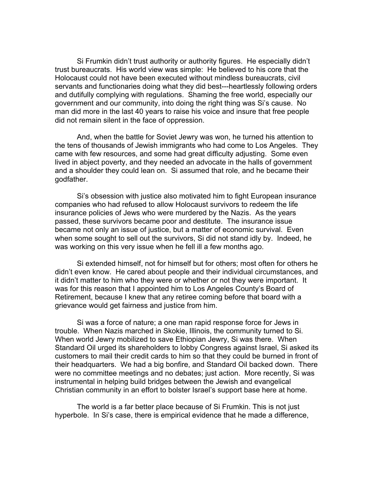Si Frumkin didn't trust authority or authority figures. He especially didn't trust bureaucrats. His world view was simple: He believed to his core that the Holocaust could not have been executed without mindless bureaucrats, civil servants and functionaries doing what they did best---heartlessly following orders and dutifully complying with regulations. Shaming the free world, especially our government and our community, into doing the right thing was Si's cause. No man did more in the last 40 years to raise his voice and insure that free people did not remain silent in the face of oppression.

And, when the battle for Soviet Jewry was won, he turned his attention to the tens of thousands of Jewish immigrants who had come to Los Angeles. They came with few resources, and some had great difficulty adjusting. Some even lived in abject poverty, and they needed an advocate in the halls of government and a shoulder they could lean on. Si assumed that role, and he became their godfather.

Si's obsession with justice also motivated him to fight European insurance companies who had refused to allow Holocaust survivors to redeem the life insurance policies of Jews who were murdered by the Nazis. As the years passed, these survivors became poor and destitute. The insurance issue became not only an issue of justice, but a matter of economic survival. Even when some sought to sell out the survivors, Si did not stand idly by. Indeed, he was working on this very issue when he fell ill a few months ago.

Si extended himself, not for himself but for others; most often for others he didn't even know. He cared about people and their individual circumstances, and it didn't matter to him who they were or whether or not they were important. It was for this reason that I appointed him to Los Angeles County's Board of Retirement, because I knew that any retiree coming before that board with a grievance would get fairness and justice from him.

Si was a force of nature; a one man rapid response force for Jews in trouble. When Nazis marched in Skokie, Illinois, the community turned to Si. When world Jewry mobilized to save Ethiopian Jewry, Si was there. When Standard Oil urged its shareholders to lobby Congress against Israel, Si asked its customers to mail their credit cards to him so that they could be burned in front of their headquarters. We had a big bonfire, and Standard Oil backed down. There were no committee meetings and no debates; just action. More recently, Si was instrumental in helping build bridges between the Jewish and evangelical Christian community in an effort to bolster Israel's support base here at home.

The world is a far better place because of Si Frumkin. This is not just hyperbole. In Si's case, there is empirical evidence that he made a difference,